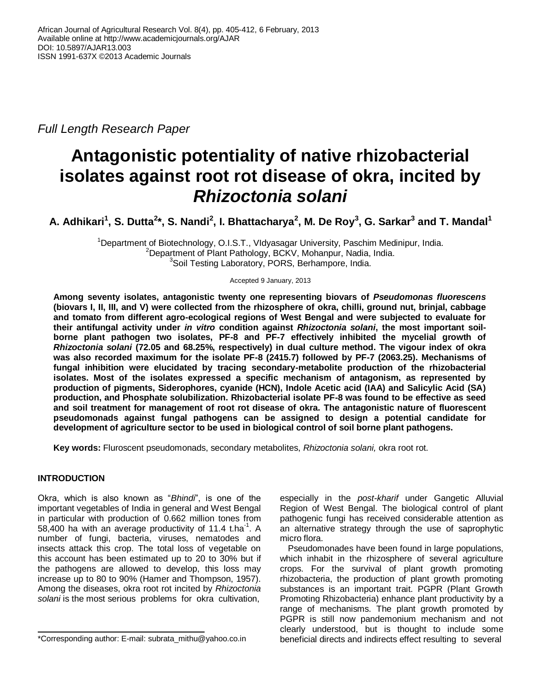*Full Length Research Paper*

# **Antagonistic potentiality of native rhizobacterial isolates against root rot disease of okra, incited by**  *Rhizoctonia solani*

**A. Adhikari<sup>1</sup> , S. Dutta<sup>2</sup> \*, S. Nandi<sup>2</sup> , I. Bhattacharya<sup>2</sup> , M. De Roy<sup>3</sup> , G. Sarkar<sup>3</sup> and T. Mandal<sup>1</sup>**

<sup>1</sup>Department of Biotechnology, O.I.S.T., VIdyasagar University, Paschim Medinipur, India. <sup>2</sup>Department of Plant Pathology, BCKV, Mohanpur, Nadia, India. <sup>3</sup>Soil Testing Laboratory, PORS, Berhampore, India.

Accepted 9 January, 2013

**Among seventy isolates, antagonistic twenty one representing biovars of** *Pseudomonas fluorescens*  **(biovars I, II, III, and V) were collected from the rhizosphere of okra, chilli, ground nut, brinjal, cabbage and tomato from different agro-ecological regions of West Bengal and were subjected to evaluate for their antifungal activity under** *in vitro* **condition against** *Rhizoctonia solani***, the most important soilborne plant pathogen two isolates, PF-8 and PF-7 effectively inhibited the mycelial growth of**  *Rhizoctonia solani* **(72.05 and 68.25%, respectively) in dual culture method. The vigour index of okra was also recorded maximum for the isolate PF-8 (2415.7) followed by PF-7 (2063.25). Mechanisms of fungal inhibition were elucidated by tracing secondary-metabolite production of the rhizobacterial isolates. Most of the isolates expressed a specific mechanism of antagonism, as represented by production of pigments, Siderophores, cyanide (HCN), Indole Acetic acid (IAA) and Salicylic Acid (SA) production, and Phosphate solubilization. Rhizobacterial isolate PF-8 was found to be effective as seed and soil treatment for management of root rot disease of okra. The antagonistic nature of fluorescent pseudomonads against fungal pathogens can be assigned to design a potential candidate for development of agriculture sector to be used in biological control of soil borne plant pathogens.**

**Key words:** Fluroscent pseudomonads, secondary metabolites, *Rhizoctonia solani,* okra root rot.

# **INTRODUCTION**

Okra, which is also known as "*Bhindi*", is one of the important vegetables of India in general and West Bengal in particular with production of 0.662 million tones from 58,400 ha with an average productivity of 11.4 t.ha<sup>-1</sup>. A number of fungi, bacteria, viruses, nematodes and insects attack this crop. The total loss of vegetable on this account has been estimated up to 20 to 30% but if the pathogens are allowed to develop, this loss may increase up to 80 to 90% (Hamer and Thompson, 1957). Among the diseases, okra root rot incited by *Rhizoctonia solani* is the most serious problems for okra cultivation,

especially in the *post-kharif* under Gangetic Alluvial Region of West Bengal. The biological control of plant pathogenic fungi has received considerable attention as an alternative strategy through the use of saprophytic micro flora.

Pseudomonades have been found in large populations, which inhabit in the rhizosphere of several agriculture crops. For the survival of plant growth promoting rhizobacteria, the production of plant growth promoting substances is an important trait. PGPR (Plant Growth Promoting Rhizobacteria) enhance plant productivity by a range of mechanisms. The plant growth promoted by PGPR is still now pandemonium mechanism and not clearly understood, but is thought to include some beneficial directs and indirects effect resulting to several

<sup>\*</sup>Corresponding author: E-mail: [subrata\\_mithu@yahoo.co.in](mailto:subrata_mithu@yahoo.co.in)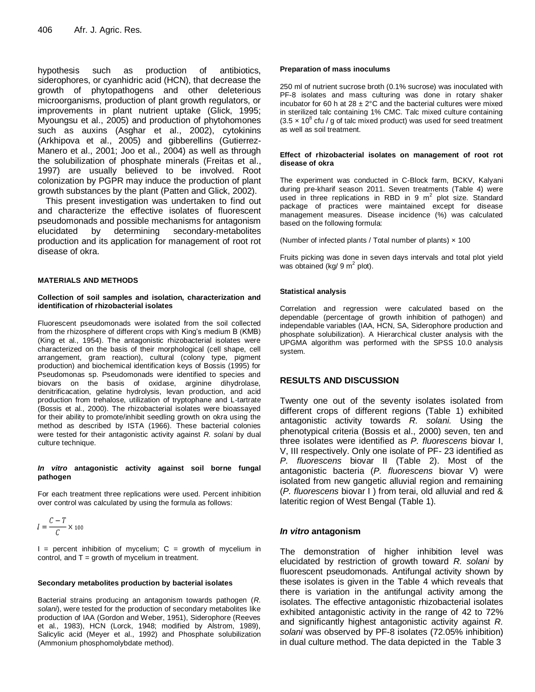hypothesis such as production of antibiotics, siderophores, or cyanhidric acid (HCN), that decrease the growth of phytopathogens and other deleterious microorganisms, production of plant growth regulators, or improvements in plant nutrient uptake (Glick, 1995; Myoungsu et al., 2005) and production of phytohomones such as auxins (Asghar et al., 2002), cytokinins (Arkhipova et al., 2005) and gibberellins (Gutierrez-Manero et al., 2001; Joo et al., 2004) as well as through the solubilization of phosphate minerals (Freitas et al., 1997) are usually believed to be involved. Root colonization by PGPR may induce the production of plant growth substances by the plant (Patten and Glick, 2002).

This present investigation was undertaken to find out and characterize the effective isolates of fluorescent pseudomonads and possible mechanisms for antagonism elucidated by determining secondary-metabolites production and its application for management of root rot disease of okra.

## **MATERIALS AND METHODS**

#### **Collection of soil samples and isolation, characterization and identification of rhizobacterial isolates**

Fluorescent pseudomonads were isolated from the soil collected from the rhizosphere of different crops with King's medium B (KMB) (King et al., 1954). The antagonistic rhizobacterial isolates were characterized on the basis of their morphological (cell shape, cell arrangement, gram reaction), cultural (colony type, pigment production) and biochemical identification keys of Bossis (1995) for Pseudomonas sp. Pseudomonads were identified to species and biovars on the basis of oxidase, arginine dihydrolase, denitrificacation, gelatine hydrolysis, levan production, and acid production from trehalose, utilization of tryptophane and L-tartrate (Bossis et al., 2000). The rhizobacterial isolates were bioassayed for their ability to promote/inhibit seedling growth on okra using the method as described by ISTA (1966). These bacterial colonies were tested for their antagonistic activity against *R. solani* by dual culture technique.

## *In vitro* **antagonistic activity against soil borne fungal pathogen**

For each treatment three replications were used. Percent inhibition over control was calculated by using the formula as follows:

$$
I = \frac{C - T}{C} \times 100
$$

 $I =$  percent inhibition of mycelium;  $C =$  growth of mycelium in control, and  $T =$  growth of mycelium in treatment.

## **Secondary metabolites production by bacterial isolates**

Bacterial strains producing an antagonism towards pathogen (*R. solani*), were tested for the production of secondary metabolites like production of IAA (Gordon and Weber, 1951), Siderophore (Reeves et al., 1983), HCN (Lorck, 1948; modified by Alstrom, 1989), Salicylic acid (Meyer et al., 1992) and Phosphate solubilization (Ammonium phosphomolybdate method).

## **Preparation of mass inoculums**

250 ml of nutrient sucrose broth (0.1% sucrose) was inoculated with PF-8 isolates and mass culturing was done in rotary shaker incubator for 60 h at 28  $\pm$  2°C and the bacterial cultures were mixed in sterilized talc containing 1% CMC. Talc mixed culture containing  $(3.5 \times 10^8 \text{ cft}$  / g of talc mixed product) was used for seed treatment as well as soil treatment.

#### **Effect of rhizobacterial isolates on management of root rot disease of okra**

The experiment was conducted in C-Block farm, BCKV, Kalyani during pre-kharif season 2011. Seven treatments (Table 4) were used in three replications in RBD in 9  $m^2$  plot size. Standard package of practices were maintained except for disease management measures. Disease incidence (%) was calculated based on the following formula:

(Number of infected plants / Total number of plants)  $\times$  100

Fruits picking was done in seven days intervals and total plot yield was obtained (kg/ 9 m<sup>2</sup> plot).

## **Statistical analysis**

Correlation and regression were calculated based on the dependable (percentage of growth inhibition of pathogen) and independable variables (IAA, HCN, SA, Siderophore production and phosphate solubilization). A Hierarchical cluster analysis with the UPGMA algorithm was performed with the SPSS 10.0 analysis system.

# **RESULTS AND DISCUSSION**

Twenty one out of the seventy isolates isolated from different crops of different regions (Table 1) exhibited antagonistic activity towards *R. solani.* Using the phenotypical criteria (Bossis et al., 2000) seven, ten and three isolates were identified as *P. fluorescens* biovar I, V, III respectively. Only one isolate of PF- 23 identified as *P. fluorescens* biovar II (Table 2). Most of the antagonistic bacteria (*P. fluorescens* biovar V) were isolated from new gangetic alluvial region and remaining (*P. fluorescens* biovar I ) from terai, old alluvial and red & lateritic region of West Bengal (Table 1).

# *In vitro* **antagonism**

The demonstration of higher inhibition level was elucidated by restriction of growth toward *R. solani* by fluorescent pseudomonads. Antifungal activity shown by these isolates is given in the Table 4 which reveals that there is variation in the antifungal activity among the isolates. The effective antagonistic rhizobacterial isolates exhibited antagonistic activity in the range of 42 to 72% and significantly highest antagonistic activity against *R. solani* was observed by PF-8 isolates (72.05% inhibition) in dual culture method. The data depicted in the Table 3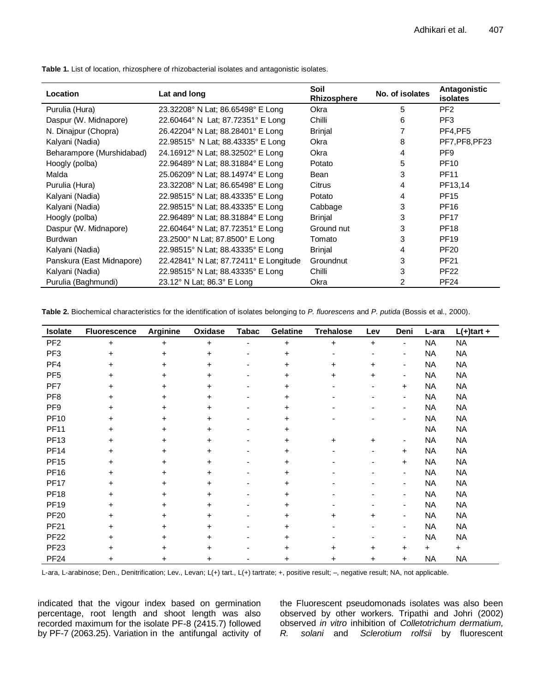| <b>Location</b>           | Lat and long                           | Soil<br>Rhizosphere | No. of isolates | Antagonistic<br><b>isolates</b> |
|---------------------------|----------------------------------------|---------------------|-----------------|---------------------------------|
| Purulia (Hura)            | 23.32208° N Lat; 86.65498° E Long      | Okra                | 5               | PF <sub>2</sub>                 |
| Daspur (W. Midnapore)     | 22.60464° N Lat; 87.72351° E Long      | Chilli              | 6               | PF <sub>3</sub>                 |
| N. Dinajpur (Chopra)      | 26.42204° N Lat; 88.28401° E Long      | <b>Brinjal</b>      |                 | PF4.PF5                         |
| Kalyani (Nadia)           | 22.98515° N Lat; 88.43335° E Long      | Okra                | 8               | PF7, PF8, PF23                  |
| Beharampore (Murshidabad) | 24.16912° N Lat; 88.32502° E Long      | Okra                | 4               | PF9                             |
| Hoogly (polba)            | 22.96489° N Lat; 88.31884° E Long      | Potato              | 5               | <b>PF10</b>                     |
| Malda                     | 25.06209° N Lat: 88.14974° E Long      | Bean                | 3               | <b>PF11</b>                     |
| Purulia (Hura)            | 23.32208° N Lat: 86.65498° E Long      | Citrus              | 4               | PF13,14                         |
| Kalyani (Nadia)           | 22.98515° N Lat; 88.43335° E Long      | Potato              | 4               | <b>PF15</b>                     |
| Kalyani (Nadia)           | 22.98515° N Lat; 88.43335° E Long      | Cabbage             | 3               | <b>PF16</b>                     |
| Hoogly (polba)            | 22.96489° N Lat; 88.31884° E Long      | <b>Brinjal</b>      | 3               | <b>PF17</b>                     |
| Daspur (W. Midnapore)     | 22.60464° N Lat; 87.72351° E Long      | Ground nut          | 3               | <b>PF18</b>                     |
| <b>Burdwan</b>            | 23.2500° N Lat; 87.8500° E Long        | Tomato              | 3               | <b>PF19</b>                     |
| Kalyani (Nadia)           | 22.98515° N Lat: 88.43335° E Long      | <b>Brinjal</b>      | 4               | <b>PF20</b>                     |
| Panskura (East Midnapore) | 22.42841° N Lat; 87.72411° E Longitude | Groundnut           | 3               | <b>PF21</b>                     |
| Kalyani (Nadia)           | 22.98515° N Lat; 88.43335° E Long      | Chilli              | 3               | <b>PF22</b>                     |
| Purulia (Baghmundi)       | 23.12° N Lat; 86.3° E Long             | Okra                | 2               | <b>PF24</b>                     |

**Table 1.** List of location, rhizosphere of rhizobacterial isolates and antagonistic isolates.

**Table 2.** Biochemical characteristics for the identification of isolates belonging to *P. fluorescens* and *P. putida* (Bossis et al., 2000).

| Isolate         | <b>Fluorescence</b> | <b>Arginine</b> | Oxidase   | <b>Tabac</b>             | <b>Gelatine</b> | <b>Trehalose</b>         | Lev                          | Deni                     | L-ara     | $L(+)$ tart + |
|-----------------|---------------------|-----------------|-----------|--------------------------|-----------------|--------------------------|------------------------------|--------------------------|-----------|---------------|
| PF <sub>2</sub> | $+$                 | $+$             | $\ddot{}$ | $\overline{\phantom{0}}$ | $\ddot{}$       | $+$                      | $\ddot{}$                    | $\blacksquare$           | <b>NA</b> | <b>NA</b>     |
| PF <sub>3</sub> | $\ddot{}$           | $\ddot{}$       | $\ddot{}$ | $\overline{\phantom{a}}$ | $\ddot{}$       | $\overline{\phantom{a}}$ | -                            | $\overline{\phantom{a}}$ | <b>NA</b> | <b>NA</b>     |
| PF <sub>4</sub> | +                   | $\ddot{}$       | $\ddot{}$ | $\overline{\phantom{0}}$ | $\ddot{}$       | $+$                      | $\ddot{}$                    | $\overline{\phantom{a}}$ | <b>NA</b> | <b>NA</b>     |
| PF <sub>5</sub> | +                   | +               | $\ddot{}$ |                          | $\ddot{}$       | $\ddot{}$                | $\pm$                        | $\overline{\phantom{a}}$ | <b>NA</b> | <b>NA</b>     |
| PF7             | +                   | $\ddot{}$       | $\ddot{}$ |                          | +               |                          |                              | $\ddot{}$                | <b>NA</b> | <b>NA</b>     |
| PF <sub>8</sub> | +                   | $\ddot{}$       | $\ddot{}$ | $\overline{\phantom{a}}$ | +               |                          | $\qquad \qquad \blacksquare$ | $\blacksquare$           | <b>NA</b> | <b>NA</b>     |
| PF <sub>9</sub> | +                   | +               | +         |                          | +               |                          |                              | $\blacksquare$           | <b>NA</b> | <b>NA</b>     |
| <b>PF10</b>     | $\ddot{}$           | $\pm$           | $\ddot{}$ |                          | +               |                          |                              |                          | <b>NA</b> | <b>NA</b>     |
| <b>PF11</b>     | +                   | $\ddot{}$       | $\ddot{}$ | $\overline{\phantom{0}}$ | +               |                          |                              |                          | <b>NA</b> | <b>NA</b>     |
| <b>PF13</b>     | +                   | +               | $\ddot{}$ |                          | +               | $\ddot{}$                | +                            | $\overline{\phantom{a}}$ | <b>NA</b> | <b>NA</b>     |
| <b>PF14</b>     | ٠                   | $\pm$           | $\ddot{}$ |                          | +               |                          | $\qquad \qquad \blacksquare$ | $\ddot{}$                | <b>NA</b> | <b>NA</b>     |
| <b>PF15</b>     | +                   | $\ddot{}$       | $\ddot{}$ | $\overline{\phantom{0}}$ | +               |                          | Ξ.                           | $\ddot{}$                | <b>NA</b> | <b>NA</b>     |
| <b>PF16</b>     | +                   | +               | $\ddot{}$ |                          | +               |                          |                              | $\overline{\phantom{a}}$ | <b>NA</b> | <b>NA</b>     |
| <b>PF17</b>     | +                   | $\ddot{}$       | $\ddot{}$ |                          | +               |                          |                              | $\overline{a}$           | <b>NA</b> | <b>NA</b>     |
| <b>PF18</b>     | +                   | $\ddot{}$       | $\ddot{}$ | $\blacksquare$           | +               |                          | $\qquad \qquad \blacksquare$ | $\blacksquare$           | <b>NA</b> | <b>NA</b>     |
| <b>PF19</b>     | +                   | +               | $\ddot{}$ |                          | +               |                          |                              | $\blacksquare$           | <b>NA</b> | <b>NA</b>     |
| <b>PF20</b>     | +                   | +               | $\ddot{}$ |                          | +               | $\pm$                    | $\pm$                        | $\overline{\phantom{a}}$ | <b>NA</b> | <b>NA</b>     |
| <b>PF21</b>     | +                   | +               | $\ddot{}$ | $\overline{\phantom{0}}$ | +               |                          | $\qquad \qquad \blacksquare$ | $\overline{\phantom{a}}$ | <b>NA</b> | <b>NA</b>     |
| <b>PF22</b>     | +                   | +               | +         |                          | $\ddot{}$       |                          |                              | $\overline{\phantom{a}}$ | <b>NA</b> | <b>NA</b>     |
| <b>PF23</b>     | +                   | $\ddot{}$       | $\ddot{}$ |                          | $\ddot{}$       | $\pm$                    | $\ddot{}$                    | $\pm$                    | $^+$      | $+$           |
| <b>PF24</b>     | ٠                   | +               | ÷         |                          | +               | ٠                        | $\pm$                        | $+$                      | <b>NA</b> | <b>NA</b>     |

L-ara, L-arabinose; Den., Denitrification; Lev., Levan; L(+) tart., L(+) tartrate; +, positive result; –, negative result; NA, not applicable.

indicated that the vigour index based on germination percentage, root length and shoot length was also recorded maximum for the isolate PF-8 (2415.7) followed by PF-7 (2063.25). Variation in the antifungal activity of the Fluorescent pseudomonads isolates was also been observed by other workers. Tripathi and Johri (2002) observed *in vitro* inhibition of *Colletotrichum dermatium, R. solani* and *Sclerotium rolfsii* by fluorescent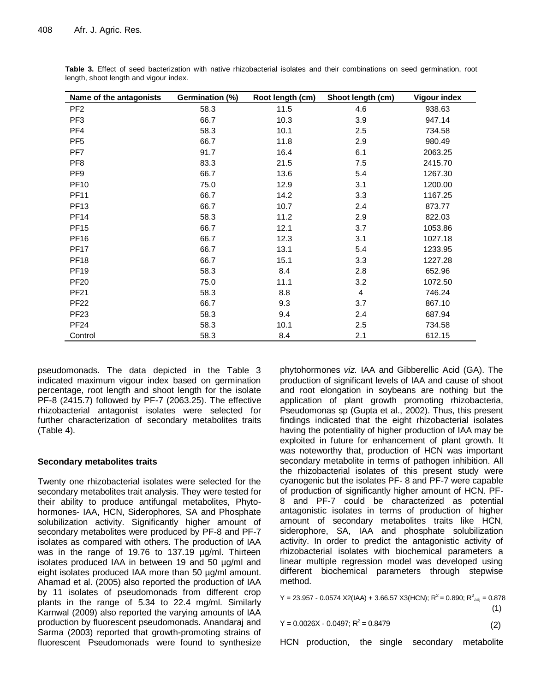| Name of the antagonists | Germination (%) | Root length (cm) | Shoot length (cm) | <b>Vigour index</b> |
|-------------------------|-----------------|------------------|-------------------|---------------------|
| PF <sub>2</sub>         | 58.3            | 11.5             | 4.6               | 938.63              |
| PF <sub>3</sub>         | 66.7            | 10.3             | 3.9               | 947.14              |
| PF4                     | 58.3            | 10.1             | 2.5               | 734.58              |
| PF <sub>5</sub>         | 66.7            | 11.8             | 2.9               | 980.49              |
| PF7                     | 91.7            | 16.4             | 6.1               | 2063.25             |
| PF <sub>8</sub>         | 83.3            | 21.5             | 7.5               | 2415.70             |
| PF <sub>9</sub>         | 66.7            | 13.6             | 5.4               | 1267.30             |
| <b>PF10</b>             | 75.0            | 12.9             | 3.1               | 1200.00             |
| <b>PF11</b>             | 66.7            | 14.2             | 3.3               | 1167.25             |
| <b>PF13</b>             | 66.7            | 10.7             | 2.4               | 873.77              |
| <b>PF14</b>             | 58.3            | 11.2             | 2.9               | 822.03              |
| <b>PF15</b>             | 66.7            | 12.1             | 3.7               | 1053.86             |
| <b>PF16</b>             | 66.7            | 12.3             | 3.1               | 1027.18             |
| <b>PF17</b>             | 66.7            | 13.1             | 5.4               | 1233.95             |
| <b>PF18</b>             | 66.7            | 15.1             | 3.3               | 1227.28             |
| <b>PF19</b>             | 58.3            | 8.4              | 2.8               | 652.96              |
| <b>PF20</b>             | 75.0            | 11.1             | 3.2               | 1072.50             |
| <b>PF21</b>             | 58.3            | 8.8              | 4                 | 746.24              |
| <b>PF22</b>             | 66.7            | 9.3              | 3.7               | 867.10              |
| <b>PF23</b>             | 58.3            | 9.4              | 2.4               | 687.94              |
| <b>PF24</b>             | 58.3            | 10.1             | 2.5               | 734.58              |
| Control                 | 58.3            | 8.4              | 2.1               | 612.15              |

**Table 3.** Effect of seed bacterization with native rhizobacterial isolates and their combinations on seed germination, root length, shoot length and vigour index.

pseudomonads. The data depicted in the Table 3 indicated maximum vigour index based on germination percentage, root length and shoot length for the isolate PF-8 (2415.7) followed by PF-7 (2063.25). The effective rhizobacterial antagonist isolates were selected for further characterization of secondary metabolites traits (Table 4).

# **Secondary metabolites traits**

Twenty one rhizobacterial isolates were selected for the secondary metabolites trait analysis. They were tested for their ability to produce antifungal metabolites, Phytohormones- IAA, HCN, Siderophores, SA and Phosphate solubilization activity. Significantly higher amount of secondary metabolites were produced by PF-8 and PF-7 isolates as compared with others. The production of IAA was in the range of 19.76 to 137.19 µg/ml. Thirteen isolates produced IAA in between 19 and 50 µg/ml and eight isolates produced IAA more than 50 µg/ml amount. Ahamad et al. (2005) also reported the production of IAA by 11 isolates of pseudomonads from different crop plants in the range of 5.34 to 22.4 mg/ml. Similarly Karnwal (2009) also reported the varying amounts of IAA production by fluorescent pseudomonads. Anandaraj and Sarma (2003) reported that growth-promoting strains of fluorescent Pseudomonads were found to synthesize

phytohormones *viz*. IAA and Gibberellic Acid (GA). The production of significant levels of IAA and cause of shoot and root elongation in soybeans are nothing but the application of plant growth promoting rhizobacteria, Pseudomonas sp (Gupta et al., 2002). Thus, this present findings indicated that the eight rhizobacterial isolates having the potentiality of higher production of IAA may be exploited in future for enhancement of plant growth. It was noteworthy that, production of HCN was important secondary metabolite in terms of pathogen inhibition. All the rhizobacterial isolates of this present study were cyanogenic but the isolates PF- 8 and PF-7 were capable of production of significantly higher amount of HCN. PF-8 and PF-7 could be characterized as potential antagonistic isolates in terms of production of higher amount of secondary metabolites traits like HCN, siderophore, SA, IAA and phosphate solubilization activity. In order to predict the antagonistic activity of rhizobacterial isolates with biochemical parameters a linear multiple regression model was developed using different biochemical parameters through stepwise method.

Y = 23.957 - 0.0574 X2(IAA) + 3.66.57 X3(HCN);  $R^2$  = 0.890;  $R^2_{\text{adj}}$  = 0.878  $(1)$ 

 $Y = 0.0026X - 0.0497; R^2 = 0.8479$  (2)

HCN production, the single secondary metabolite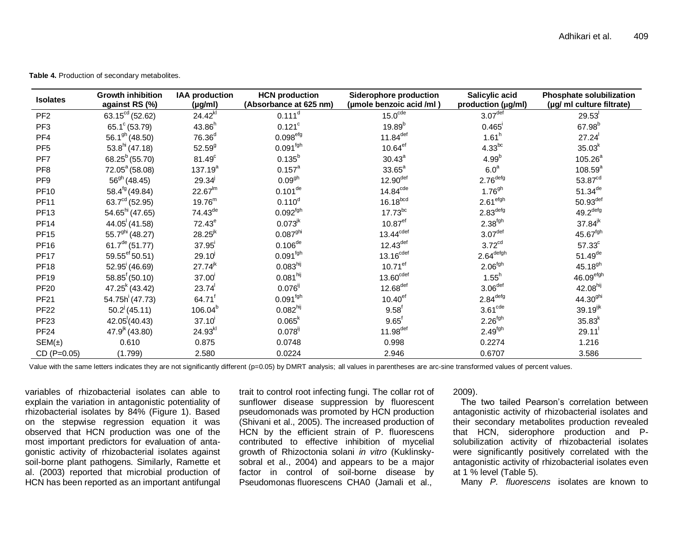**Table 4.** Production of secondary metabolites.

| <b>Isolates</b> | <b>Growth inhibition</b><br>against RS (%) | <b>IAA production</b><br>$(\mu g/ml)$ | <b>HCN</b> production<br>(Absorbance at 625 nm) | <b>Siderophore production</b><br>(umole benzoic acid /ml) | Salicylic acid<br>production (µg/ml) | Phosphate solubilization<br>(µg/ ml culture filtrate) |
|-----------------|--------------------------------------------|---------------------------------------|-------------------------------------------------|-----------------------------------------------------------|--------------------------------------|-------------------------------------------------------|
| PF <sub>2</sub> | 63.15 $^{cd}$ (52.62)                      | $24.42^{kl}$                          | 0.111 <sup>d</sup>                              | 15.0 <sup>cde</sup>                                       | 3.07 <sup>def</sup>                  | 29.53                                                 |
| PF <sub>3</sub> | 65.1 $\degree$ (53.79)                     | $43.86^{h}$                           | $0.121$ <sup>c</sup>                            | $19.89^b$                                                 | 0.465                                | $67.98^{b}$                                           |
| PF4             | 56.1 <sup>gh</sup> (48.50)                 | 76.36 <sup>d</sup>                    | $0.098^{\rm efg}$                               | $11.84$ <sup>def</sup>                                    | 1.61 <sup>h</sup>                    | 27.24                                                 |
| PF <sub>5</sub> | $53.8hi$ (47.18)                           | $52.59^{9}$                           | $0.091^{\text{fgh}}$                            | $10.64^{ef}$                                              | $4.33^{bc}$                          | $35.03^{k}$                                           |
| PF7             | 68.25 <sup>b</sup> (55.70)                 | 81.49 <sup>c</sup>                    | $0.135^{b}$                                     | $30.43^a$                                                 | $4.99^{b}$                           | $105.26^{a}$                                          |
| PF <sub>8</sub> | 72.05 <sup>a</sup> (58.08)                 | $137.19^{a}$                          | $0.157^{\text{a}}$                              | $33.65^a$                                                 | 6.0 <sup>a</sup>                     | $108.59^{a}$                                          |
| PF <sub>9</sub> | $56^{gh}$ (48.45)                          | $29.34^{j}$                           | 0.09 <sup>gh</sup>                              | $12.90$ <sup>def</sup>                                    | 2.76 <sup>defg</sup>                 | 53.87 <sup>cd</sup>                                   |
| <b>PF10</b>     | 58.4 <sup>fg</sup> (49.84)                 | $22.67^{lm}$                          | $0.101^{de}$                                    | $14.84^{\text{cde}}$                                      | $1.76^{9h}$                          | $51.34^{de}$                                          |
| <b>PF11</b>     | 63.7 $^{cd}$ (52.95)                       | $19.76^{m}$                           | $0.110^{d}$                                     | $16.18^{bcd}$                                             | 2.61 <sup>efgh</sup>                 | $50.93$ <sup>def</sup>                                |
| <b>PF13</b>     | 54.65 <sup>hi</sup> (47.65)                | $74.43^{de}$                          | $0.092^{\text{fgh}}$                            | $17.73^{bc}$                                              | 2.83 <sup>defg</sup>                 | $49.2$ <sup>defg</sup>                                |
| <b>PF14</b>     | $44.05^{(41.58)}$                          | $72.43^e$                             | $0.073^{jk}$                                    | $10.87$ <sup>ef</sup>                                     | $2.38^{fgh}$                         | $37.84^{jk}$                                          |
| <b>PF15</b>     | 55.7 <sup>ghi</sup> (48.27)                | $28.25^{jk}$                          | $0.087^{\rm ghi}$                               | $13.44^{\text{cdef}}$                                     | $3.07^{\rm def}$                     | 45.67fgh                                              |
| <b>PF16</b>     | 61.7 <sup>de</sup> (51.77)                 | $37.95^{\circ}$                       | $0.106^{de}$                                    | $12.43^{\text{def}}$                                      | 3.72 <sup>cd</sup>                   | 57.33 <sup>c</sup>                                    |
| <b>PF17</b>     | 59.55ef 50.51)                             | $29.10^{j}$                           | $0.091^{\text{fgh}}$                            | 13.16 <sup>cdef</sup>                                     | $2.64^{\mathsf{defgh}}$              | $51.49$ <sup>de</sup>                                 |
| <b>PF18</b>     | $52.95$ <sup><math>(46.69)</math></sup>    | $27.74^{jk}$                          | 0.083 <sup>hij</sup>                            | $10.71$ <sup>ef</sup>                                     | 2.06 <sup>fgh</sup>                  | $45.18^{9h}$                                          |
| <b>PF19</b>     | $58.85^{6}$ (50.10)                        | 37.00                                 | $0.081^{\text{hij}}$                            | $13.60^{\text{cdef}}$                                     | $1.55^h$                             | 46.09 <sup>efgh</sup>                                 |
| <b>PF20</b>     | $47.25k$ (43.42)                           | 23.74                                 | $0.076^{i}$                                     | $12.68$ <sup>def</sup>                                    | 3.06 <sup>def</sup>                  | 42.08hij                                              |
| <b>PF21</b>     | 54.75h (47.73)                             | 64.71                                 | $0.091^{\text{fgh}}$                            | $10.40^\mathrm{ef}$                                       | 2.84 <sup>defg</sup>                 | $44.30^{9}$ hi                                        |
| <b>PF22</b>     | $50.2^{j}$ (45.11)                         | $106.04^{b}$                          | 0.082 <sup>hij</sup>                            | $9.58^{f}$                                                | 3.61 <sup>cde</sup>                  | 39.19ijk                                              |
| <b>PF23</b>     | 42.05(40.43)                               | 37.10                                 | $0.065^{k}$                                     | $9.65^{\dagger}$                                          | $2.26^{fgh}$                         | $35.83^{k}$                                           |
| <b>PF24</b>     | $47.9^{jk}$ (43.80)                        | 24.93kl                               | $0.078^{i}$                                     | $11.98$ <sup>def</sup>                                    | 2.49 <sup>fgh</sup>                  | $29.11$ <sup>1</sup>                                  |
| $SEM(\pm)$      | 0.610                                      | 0.875                                 | 0.0748                                          | 0.998                                                     | 0.2274                               | 1.216                                                 |
| CD (P=0.05)     | (1.799)                                    | 2.580                                 | 0.0224                                          | 2.946                                                     | 0.6707                               | 3.586                                                 |

Value with the same letters indicates they are not significantly different (p=0.05) by DMRT analysis; all values in parentheses are arc-sine transformed values of percent values.

variables of rhizobacterial isolates can able to explain the variation in antagonistic potentiality of rhizobacterial isolates by 84% (Figure 1). Based on the stepwise regression equation it was observed that HCN production was one of the most important predictors for evaluation of antagonistic activity of rhizobacterial isolates against soil-borne plant pathogens. Similarly, Ramette et al. (2003) reported that microbial production of HCN has been reported as an important antifungal

trait to control root infecting fungi. The collar rot of sunflower disease suppression by fluorescent pseudomonads was promoted by HCN production (Shivani et al., 2005). The increased production of HCN by the efficient strain of P. fluorescens contributed to effective inhibition of mycelial growth of Rhizoctonia solani *in vitro* (Kuklinskysobral et al., 2004) and appears to be a major factor in control of soil-borne disease by Pseudomonas fluorescens CHA0 (Jamali et al.,

2009).

The two tailed Pearson's correlation between antagonistic activity of rhizobacterial isolates and their secondary metabolites production revealed that HCN, siderophore production and Psolubilization activity of rhizobacterial isolates were significantly positively correlated with the antagonistic activity of rhizobacterial isolates even at 1 % level (Table 5).

Many *P. fluorescens* isolates are known to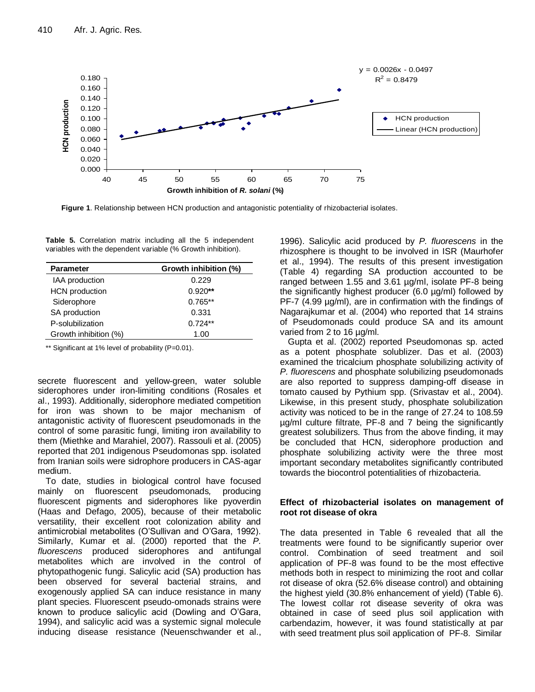

**Figure 1**. Relationship between HCN production and antagonistic potentiality of rhizobacterial isolates.

**Table 5.** Correlation matrix including all the 5 independent variables with the dependent variable (% Growth inhibition).

| <b>Parameter</b>      | Growth inhibition (%) |  |  |
|-----------------------|-----------------------|--|--|
| <b>IAA</b> production | 0.229                 |  |  |
| <b>HCN</b> production | $0.920**$             |  |  |
| Siderophore           | $0.765**$             |  |  |
| SA production         | 0.331                 |  |  |
| P-solubilization      | $0.724**$             |  |  |
| Growth inhibition (%) | 1.00                  |  |  |

\*\* Significant at 1% level of probability (P=0.01).

secrete fluorescent and yellow-green, water soluble siderophores under iron-limiting conditions (Rosales et al., 1993). Additionally, siderophore mediated competition for iron was shown to be major mechanism of antagonistic activity of fluorescent pseudomonads in the control of some parasitic fungi, limiting iron availability to them (Miethke and Marahiel, 2007). Rassouli et al. (2005) reported that 201 indigenous Pseudomonas spp. isolated from Iranian soils were sidrophore producers in CAS-agar medium.

To date, studies in biological control have focused mainly on fluorescent pseudomonads*,* producing fluorescent pigments and siderophores like pyoverdin (Haas and Defago, 2005), because of their metabolic versatility, their excellent root colonization ability and antimicrobial metabolites (O'Sullivan and O'Gara, 1992). Similarly, Kumar et al. (2000) reported that the *P. fluorescens* produced siderophores and antifungal metabolites which are involved in the control of phytopathogenic fungi. Salicylic acid (SA) production has been observed for several bacterial strains, and exogenously applied SA can induce resistance in many plant species. Fluorescent pseudo-omonads strains were known to produce salicylic acid (Dowling and O'Gara, 1994), and salicylic acid was a systemic signal molecule inducing disease resistance (Neuenschwander et al.,

1996). Salicylic acid produced by *P. fluorescens* in the rhizosphere is thought to be involved in ISR (Maurhofer et al., 1994). The results of this present investigation (Table 4) regarding SA production accounted to be ranged between 1.55 and 3.61 µg/ml, isolate PF-8 being the significantly highest producer (6.0 µg/ml) followed by PF-7 (4.99  $\mu$ g/ml), are in confirmation with the findings of Nagarajkumar et al. (2004) who reported that 14 strains of Pseudomonads could produce SA and its amount varied from 2 to 16 µg/ml.

Gupta et al. (2002) reported Pseudomonas sp. acted as a potent phosphate solublizer. Das et al. (2003) examined the tricalcium phosphate solubilizing activity of *P. fluorescens* and phosphate solubilizing pseudomonads are also reported to suppress damping-off disease in tomato caused by Pythium spp. (Srivastav et al., 2004). Likewise, in this present study, phosphate solubilization activity was noticed to be in the range of 27.24 to 108.59 µg/ml culture filtrate, PF-8 and 7 being the significantly greatest solubilizers. Thus from the above finding, it may be concluded that HCN, siderophore production and phosphate solubilizing activity were the three most important secondary metabolites significantly contributed towards the biocontrol potentialities of rhizobacteria.

# **Effect of rhizobacterial isolates on management of root rot disease of okra**

The data presented in Table 6 revealed that all the treatments were found to be significantly superior over control. Combination of seed treatment and soil application of PF-8 was found to be the most effective methods both in respect to minimizing the root and collar rot disease of okra (52.6% disease control) and obtaining the highest yield (30.8% enhancement of yield) (Table 6). The lowest collar rot disease severity of okra was obtained in case of seed plus soil application with carbendazim, however, it was found statistically at par with seed treatment plus soil application of PF-8. Similar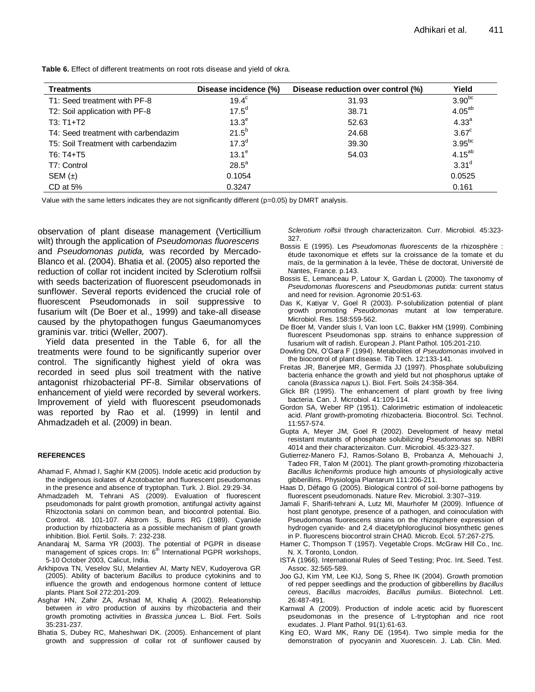| Table 6. Effect of different treatments on root rots disease and yield of okra. |  |  |
|---------------------------------------------------------------------------------|--|--|
|---------------------------------------------------------------------------------|--|--|

| <b>Treatments</b>                   | Disease incidence (%) | Disease reduction over control (%) | Yield              |
|-------------------------------------|-----------------------|------------------------------------|--------------------|
| T1: Seed treatment with PF-8        | $19.4^\circ$          | 31.93                              | 3.90 <sup>bc</sup> |
| T2: Soil application with PF-8      | $17.5^{d}$            | 38.71                              | $4.05^{ab}$        |
| $T3: T1+T2$                         | 13.3 <sup>e</sup>     | 52.63                              | 4.33 <sup>a</sup>  |
| T4: Seed treatment with carbendazim | $21.5^{b}$            | 24.68                              | $3.67^{\circ}$     |
| T5: Soil Treatment with carbendazim | $17.3^{d}$            | 39.30                              | $3.95^{bc}$        |
| $T6: T4+T5$                         | $13.1^e$              | 54.03                              | $4.15^{ab}$        |
| T7: Control                         | $28.5^a$              |                                    | 3.31 <sup>d</sup>  |
| SEM $(\pm)$                         | 0.1054                |                                    | 0.0525             |
| $CD$ at 5%                          | 0.3247                |                                    | 0.161              |

Value with the same letters indicates they are not significantly different (p=0.05) by DMRT analysis.

observation of plant disease management (Verticillium wilt) through the application of *Pseudomonas fluorescens* and *Pseudomonas putida,* was recorded by Mercado-Blanco et al. (2004). Bhatia et al. (2005) also reported the reduction of collar rot incident incited by Sclerotium rolfsii with seeds bacterization of fluorescent pseudomonads in sunflower. Several reports evidenced the crucial role of fluorescent Pseudomonads in soil suppressive to fusarium wilt (De Boer et al., 1999) and take-all disease caused by the phytopathogen fungus Gaeumanomyces graminis var. tritici (Weller, 2007).

Yield data presented in the Table 6, for all the treatments were found to be significantly superior over control. The significantly highest yield of okra was recorded in seed plus soil treatment with the native antagonist rhizobacterial PF-8. Similar observations of enhancement of yield were recorded by several workers. Improvement of yield with fluorescent pseudomonads was reported by Rao et al. (1999) in lentil and Ahmadzadeh et al. (2009) in bean.

#### **REFERENCES**

- Ahamad F, Ahmad I, Saghir KM (2005). Indole acetic acid production by the indigenous isolates of Azotobacter and fluorescent pseudomonas in the presence and absence of tryptophan. Turk. J. Biol. 29:29-34.
- Ahmadzadeh M, Tehrani AS (2009). Evaluation of fluorescent pseudomonads for palnt growth promotion, antifungal activity against Rhizoctonia solani on common bean, and biocontrol potential. Bio. Control. 48. 101-107. Alstrom S, Burns RG (1989). Cyanide production by rhizobacteria as a possible mechanism of plant growth inhibition. Biol. Fertil. Soils. 7: 232-238.
- Anandaraj M, Sarma YR (2003). The potential of PGPR in disease management of spices crops. In: 6<sup>th</sup> International PGPR workshops, 5-10 October 2003, Calicut, India.
- Arkhipova TN, Veselov SU, Melantiev AI, Marty NEV, Kudoyerova GR (2005). Ability of bacterium *Bacillus* to produce cytokinins and to influence the growth and endogenous hormone content of lettuce plants. Plant Soil 272:201-209.
- Asghar HN, Zahir ZA, Arshad M, Khaliq A (2002). Releationship between *in vitro* production of auxins by rhizobacteria and their growth promoting activities in *Brassica juncea* L. Biol. Fert. Soils 35:231-237.
- Bhatia S, Dubey RC, Maheshwari DK. (2005). Enhancement of plant growth and suppression of collar rot of sunflower caused by

*Sclerotium rolfsii* through characterizaiton. Curr. Microbiol. 45:323- 327.

- Bossis E (1995). Les *Pseudomonas fluorescents* de la rhizosphère : étude taxonomique et effets sur la croissance de la tomate et du maïs, de la germination à la levée, Thèse de doctorat, Université de Nantes, France. p.143.
- Bossis E, Lemanceau P, Latour X, Gardan L (2000). The taxonomy of *Pseudomonas fluorescens* and *Pseudomonas putida*: current status and need for revision. Agronomie 20:51-63.
- Das K, Katiyar V, Goel R (2003). P-solubilization potential of plant growth promoting *Pseudomonas* mutant at low temperature. Microbiol. Res. 158:559-562.
- De Boer M, Vander sluis I, Van loon LC, Bakker HM (1999). Combining fluorescent Pseudomonas spp. strains to enhance suppression of fusarium wilt of radish. European J. Plant Pathol. 105:201-210.
- Dowling DN, O'Gara F (1994). Metabolites of *Pseudomonas* involved in the biocontrol of plant disease. Tib Tech. 12:133-141.
- Freitas JR, Banerjee MR, Germida JJ (1997). Phosphate solubulizing bacteria enhance the growth and yield but not phosphorus uptake of canola (*Brassica napus* L). Biol. Fert. Soils 24:358-364.
- Glick BR (1995). The enhancement of plant growth by free living bacteria. Can. J. Microbiol. 41:109-114.
- Gordon SA, Weber RP (1951). Calorimetric estimation of indoleacetic acid. *Plant* growth-promoting rhizobacteria*.* Biocontrol. Sci. Technol. 11:557-574.
- Gupta A, Meyer JM, Goel R (2002). Development of heavy metal resistant mutants of phosphate solubilizing *Pseudomonas* sp. NBRI 4014 and their characterizaiton. Curr. Microbiol. 45:323-327.
- Gutierrez-Manero FJ, Ramos-Solano B, Probanza A, Mehouachi J, Tadeo FR, Talon M (2001). The plant growth-promoting rhizobacteria *Bacillus licheniformis* produce high amounts of physiologically active gibberillins. Physiologia Plantarum 111:206-211.
- Haas D, Défago G (2005). Biological control of soil-borne pathogens by fluorescent pseudomonads. Nature Rev. Microbiol. 3:307–319.
- Jamali F, Sharifi-tehrani A, Lutz MI, Maurhofer M (2009). Influence of host plant genotype, presence of a pathogen, and coinoculation with Pseudomonas fluorescens strains on the rhizosphere expression of hydrogen cyanide- and 2,4 diacetylphloroglucinol biosynthetic genes in P. fluorescens biocontrol strain CHA0. Microb. Ecol. 57:267-275.
- Hamer C, Thompson T (1957). Vegetable Crops. McGraw Hill Co., Inc. N. X. Toronto, London.
- ISTA (1966). International Rules of Seed Testing; Proc. Int. Seed. Test. Assoc. 32:565-589.
- Joo GJ, Kim YM, Lee KIJ, Song S, Rhee IK (2004). Growth promotion of red pepper seedlings and the production of gibberellins by *Bacillus cereus*, *Bacillus macroides, Bacillus pumilus*. Biotechnol. Lett. 26:487-491.
- Karnwal A (2009). Production of indole acetic acid by fluorescent pseudomonas in the presence of L-tryptophan and rice root exudates. J. Plant Pathol. 91(1):61-63.
- King EO, Ward MK, Rany DE (1954). Two simple media for the demonstration of pyocyanin and Xuorescein. J. Lab. Clin. Med.